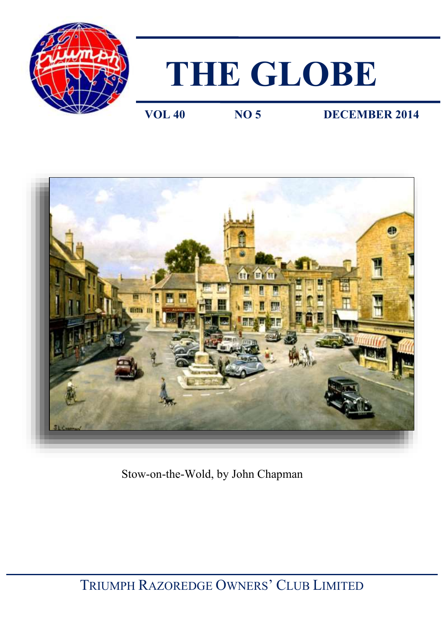

# **THE GLOBE**

**VOL 40** NO 5 **DECEMBER 2014** 



Stow-on-the-Wold, by John Chapman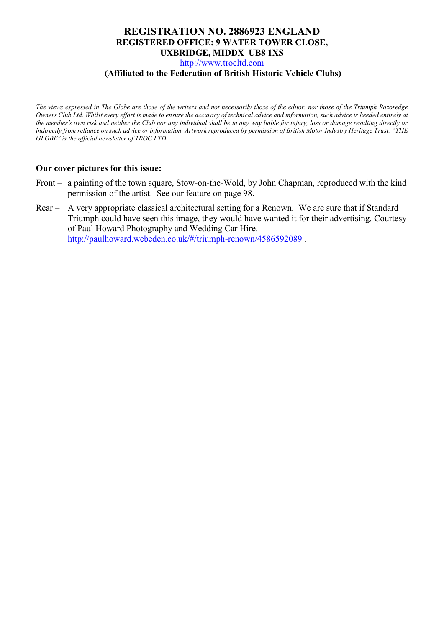### **REGISTRATION NO. 2886923 ENGLAND REGISTERED OFFICE: 9 WATER TOWER CLOSE, UXBRIDGE, MIDDX UB8 1XS**  [http://www.trocltd.com](http://www.trocltd.com/)

### **(Affiliated to the Federation of British Historic Vehicle Clubs)**

*The views expressed in The Globe are those of the writers and not necessarily those of the editor, nor those of the Triumph Razoredge Owners Club Ltd. Whilst every effort is made to ensure the accuracy of technical advice and information, such advice is heeded entirely at the member*'*s own risk and neither the Club nor any individual shall be in any way liable for injury, loss or damage resulting directly or indirectly from reliance on such advice or information. Artwork reproduced by permission of British Motor Industry Heritage Trust. "THE GLOBE" is the official newsletter of TROC LTD.*

### **Our cover pictures for this issue:**

- Front a painting of the town square, Stow-on-the-Wold, by John Chapman, reproduced with the kind permission of the artist. See our feature on page 98.
- Rear A very appropriate classical architectural setting for a Renown. We are sure that if Standard Triumph could have seen this image, they would have wanted it for their advertising. Courtesy of Paul Howard Photography and Wedding Car Hire. <http://paulhoward.webeden.co.uk/#/triumph-renown/4586592089> .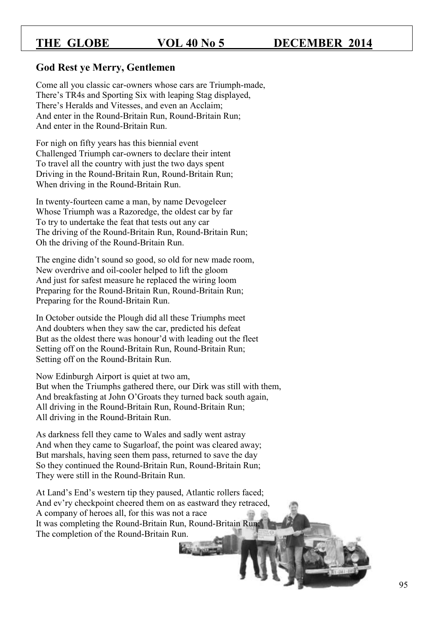### **God Rest ye Merry, Gentlemen**

Come all you classic car-owners whose cars are Triumph-made, There's TR4s and Sporting Six with leaping Stag displayed, There's Heralds and Vitesses, and even an Acclaim; And enter in the Round-Britain Run, Round-Britain Run; And enter in the Round-Britain Run.

For nigh on fifty years has this biennial event Challenged Triumph car-owners to declare their intent To travel all the country with just the two days spent Driving in the Round-Britain Run, Round-Britain Run; When driving in the Round-Britain Run.

In twenty-fourteen came a man, by name Devogeleer Whose Triumph was a Razoredge, the oldest car by far To try to undertake the feat that tests out any car The driving of the Round-Britain Run, Round-Britain Run; Oh the driving of the Round-Britain Run.

The engine didn't sound so good, so old for new made room, New overdrive and oil-cooler helped to lift the gloom And just for safest measure he replaced the wiring loom Preparing for the Round-Britain Run, Round-Britain Run; Preparing for the Round-Britain Run.

In October outside the Plough did all these Triumphs meet And doubters when they saw the car, predicted his defeat But as the oldest there was honour'd with leading out the fleet Setting off on the Round-Britain Run, Round-Britain Run; Setting off on the Round-Britain Run.

Now Edinburgh Airport is quiet at two am, But when the Triumphs gathered there, our Dirk was still with them, And breakfasting at John O'Groats they turned back south again, All driving in the Round-Britain Run, Round-Britain Run; All driving in the Round-Britain Run.

As darkness fell they came to Wales and sadly went astray And when they came to Sugarloaf, the point was cleared away; But marshals, having seen them pass, returned to save the day So they continued the Round-Britain Run, Round-Britain Run; They were still in the Round-Britain Run.

At Land's End's western tip they paused, Atlantic rollers faced; And ev'ry checkpoint cheered them on as eastward they retraced, A company of heroes all, for this was not a race It was completing the Round-Britain Run, Round-Britain Run; The completion of the Round-Britain Run.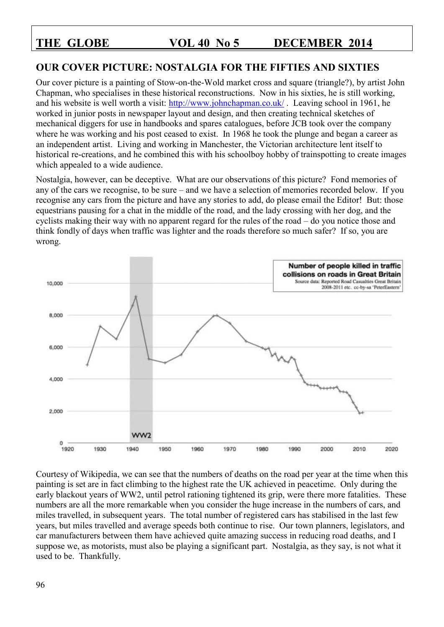# **OUR COVER PICTURE: NOSTALGIA FOR THE FIFTIES AND SIXTIES**

Our cover picture is a painting of Stow-on-the-Wold market cross and square (triangle?), by artist John Chapman, who specialises in these historical reconstructions. Now in his sixties, he is still working, and his website is well worth a visit:<http://www.johnchapman.co.uk/> . Leaving school in 1961, he worked in junior posts in newspaper layout and design, and then creating technical sketches of mechanical diggers for use in handbooks and spares catalogues, before JCB took over the company where he was working and his post ceased to exist. In 1968 he took the plunge and began a career as an independent artist. Living and working in Manchester, the Victorian architecture lent itself to historical re-creations, and he combined this with his schoolboy hobby of trainspotting to create images which appealed to a wide audience.

Nostalgia, however, can be deceptive. What are our observations of this picture? Fond memories of any of the cars we recognise, to be sure – and we have a selection of memories recorded below. If you recognise any cars from the picture and have any stories to add, do please email the Editor! But: those equestrians pausing for a chat in the middle of the road, and the lady crossing with her dog, and the cyclists making their way with no apparent regard for the rules of the road – do you notice those and think fondly of days when traffic was lighter and the roads therefore so much safer? If so, you are wrong.



Courtesy of Wikipedia, we can see that the numbers of deaths on the road per year at the time when this painting is set are in fact climbing to the highest rate the UK achieved in peacetime. Only during the early blackout years of WW2, until petrol rationing tightened its grip, were there more fatalities. These numbers are all the more remarkable when you consider the huge increase in the numbers of cars, and miles travelled, in subsequent years. The total number of registered cars has stabilised in the last few years, but miles travelled and average speeds both continue to rise. Our town planners, legislators, and car manufacturers between them have achieved quite amazing success in reducing road deaths, and I suppose we, as motorists, must also be playing a significant part. Nostalgia, as they say, is not what it used to be. Thankfully.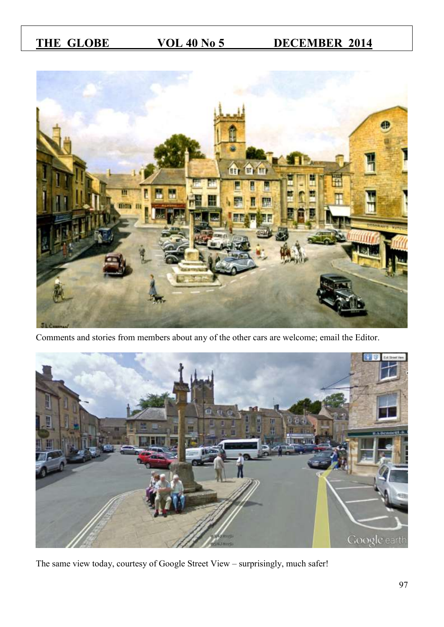

Comments and stories from members about any of the other cars are welcome; email the Editor.



The same view today, courtesy of Google Street View – surprisingly, much safer!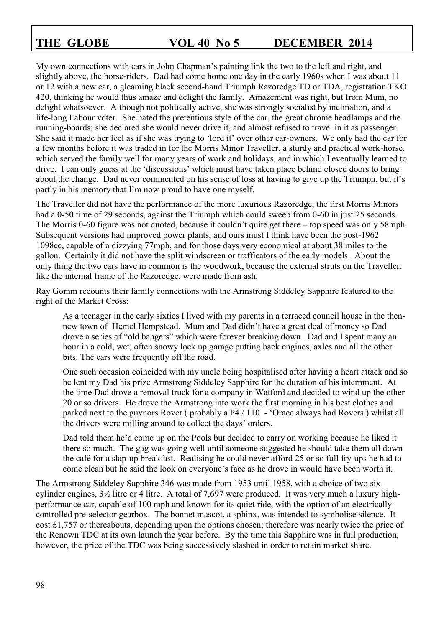My own connections with cars in John Chapman's painting link the two to the left and right, and slightly above, the horse-riders. Dad had come home one day in the early 1960s when I was about 11 or 12 with a new car, a gleaming black second-hand Triumph Razoredge TD or TDA, registration TKO 420, thinking he would thus amaze and delight the family. Amazement was right, but from Mum, no delight whatsoever. Although not politically active, she was strongly socialist by inclination, and a life-long Labour voter. She hated the pretentious style of the car, the great chrome headlamps and the running-boards; she declared she would never drive it, and almost refused to travel in it as passenger. She said it made her feel as if she was trying to 'lord it' over other car-owners. We only had the car for a few months before it was traded in for the Morris Minor Traveller, a sturdy and practical work-horse, which served the family well for many years of work and holidays, and in which I eventually learned to drive. I can only guess at the 'discussions' which must have taken place behind closed doors to bring about the change. Dad never commented on his sense of loss at having to give up the Triumph, but it's partly in his memory that I'm now proud to have one myself.

The Traveller did not have the performance of the more luxurious Razoredge; the first Morris Minors had a 0-50 time of 29 seconds, against the Triumph which could sweep from 0-60 in just 25 seconds. The Morris 0-60 figure was not quoted, because it couldn't quite get there – top speed was only 58mph. Subsequent versions had improved power plants, and ours must I think have been the post-1962 1098cc, capable of a dizzying 77mph, and for those days very economical at about 38 miles to the gallon. Certainly it did not have the split windscreen or trafficators of the early models. About the only thing the two cars have in common is the woodwork, because the external struts on the Traveller, like the internal frame of the Razoredge, were made from ash.

Ray Gomm recounts their family connections with the Armstrong Siddeley Sapphire featured to the right of the Market Cross:

As a teenager in the early sixties I lived with my parents in a terraced council house in the thennew town of Hemel Hempstead. Mum and Dad didn't have a great deal of money so Dad drove a series of "old bangers" which were forever breaking down. Dad and I spent many an hour in a cold, wet, often snowy lock up garage putting back engines, axles and all the other bits. The cars were frequently off the road.

One such occasion coincided with my uncle being hospitalised after having a heart attack and so he lent my Dad his prize Armstrong Siddeley Sapphire for the duration of his internment. At the time Dad drove a removal truck for a company in Watford and decided to wind up the other 20 or so drivers. He drove the Armstrong into work the first morning in his best clothes and parked next to the guvnors Rover ( probably a P4 / 110 - 'Orace always had Rovers ) whilst all the drivers were milling around to collect the days' orders.

Dad told them he'd come up on the Pools but decided to carry on working because he liked it there so much. The gag was going well until someone suggested he should take them all down the café for a slap-up breakfast. Realising he could never afford 25 or so full fry-ups he had to come clean but he said the look on everyone's face as he drove in would have been worth it.

The Armstrong Siddeley Sapphire 346 was made from 1953 until 1958, with a choice of two sixcylinder engines, 3½ litre or 4 litre. A total of 7,697 were produced. It was very much a luxury highperformance car, capable of 100 mph and known for its quiet ride, with the option of an electricallycontrolled pre-selector gearbox. The bonnet mascot, a sphinx, was intended to symbolise silence. It cost £1,757 or thereabouts, depending upon the options chosen; therefore was nearly twice the price of the Renown TDC at its own launch the year before. By the time this Sapphire was in full production, however, the price of the TDC was being successively slashed in order to retain market share.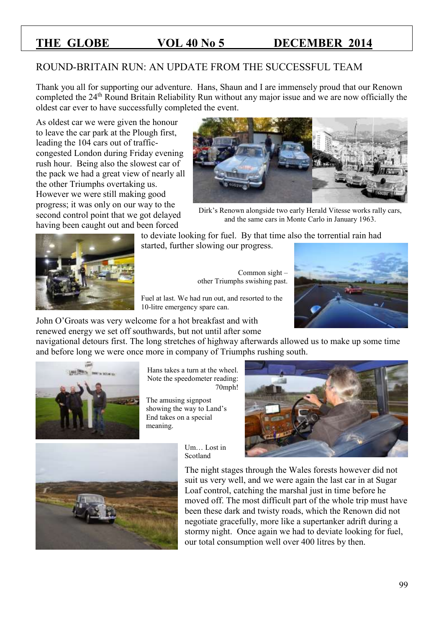# ROUND-BRITAIN RUN: AN UPDATE FROM THE SUCCESSFUL TEAM

Thank you all for supporting our adventure. Hans, Shaun and I are immensely proud that our Renown completed the 24<sup>th</sup> Round Britain Reliability Run without any major issue and we are now officially the oldest car ever to have successfully completed the event.

As oldest car we were given the honour to leave the car park at the Plough first, leading the 104 cars out of trafficcongested London during Friday evening rush hour. Being also the slowest car of the pack we had a great view of nearly all the other Triumphs overtaking us. However we were still making good progress; it was only on our way to the second control point that we got delayed having been caught out and been forced



Dirk's Renown alongside two early Herald Vitesse works rally cars, and the same cars in Monte Carlo in January 1963.



to deviate looking for fuel. By that time also the torrential rain had started, further slowing our progress.

> Common sight – other Triumphs swishing past.

Fuel at last. We had run out, and resorted to the 10-litre emergency spare can.

John O'Groats was very welcome for a hot breakfast and with renewed energy we set off southwards, but not until after some

navigational detours first. The long stretches of highway afterwards allowed us to make up some time and before long we were once more in company of Triumphs rushing south.



Hans takes a turn at the wheel. Note the speedometer reading: 70mph!

The amusing signpost showing the way to Land's End takes on a special meaning.





Um… Lost in Scotland

The night stages through the Wales forests however did not suit us very well, and we were again the last car in at Sugar Loaf control, catching the marshal just in time before he moved off. The most difficult part of the whole trip must have been these dark and twisty roads, which the Renown did not negotiate gracefully, more like a supertanker adrift during a stormy night. Once again we had to deviate looking for fuel, our total consumption well over 400 litres by then.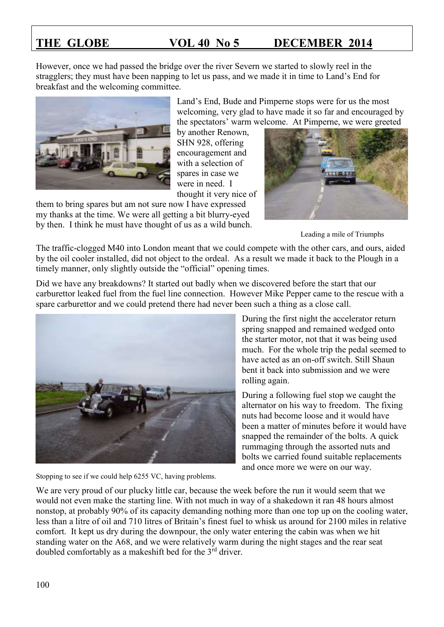However, once we had passed the bridge over the river Severn we started to slowly reel in the stragglers; they must have been napping to let us pass, and we made it in time to Land's End for breakfast and the welcoming committee.



Land's End, Bude and Pimperne stops were for us the most welcoming, very glad to have made it so far and encouraged by the spectators' warm welcome. At Pimperne, we were greeted

by another Renown, SHN 928, offering encouragement and with a selection of spares in case we were in need. I thought it very nice of

them to bring spares but am not sure now I have expressed my thanks at the time. We were all getting a bit blurry-eyed by then. I think he must have thought of us as a wild bunch.



Leading a mile of Triumphs

The traffic-clogged M40 into London meant that we could compete with the other cars, and ours, aided by the oil cooler installed, did not object to the ordeal. As a result we made it back to the Plough in a timely manner, only slightly outside the "official" opening times.

Did we have any breakdowns? It started out badly when we discovered before the start that our carburettor leaked fuel from the fuel line connection. However Mike Pepper came to the rescue with a spare carburettor and we could pretend there had never been such a thing as a close call.



Stopping to see if we could help 6255 VC, having problems.

During the first night the accelerator return spring snapped and remained wedged onto the starter motor, not that it was being used much. For the whole trip the pedal seemed to have acted as an on-off switch. Still Shaun bent it back into submission and we were rolling again.

During a following fuel stop we caught the alternator on his way to freedom. The fixing nuts had become loose and it would have been a matter of minutes before it would have snapped the remainder of the bolts. A quick rummaging through the assorted nuts and bolts we carried found suitable replacements and once more we were on our way.

We are very proud of our plucky little car, because the week before the run it would seem that we would not even make the starting line. With not much in way of a shakedown it ran 48 hours almost nonstop, at probably 90% of its capacity demanding nothing more than one top up on the cooling water, less than a litre of oil and 710 litres of Britain's finest fuel to whisk us around for 2100 miles in relative comfort. It kept us dry during the downpour, the only water entering the cabin was when we hit standing water on the A68, and we were relatively warm during the night stages and the rear seat doubled comfortably as a makeshift bed for the 3rd driver.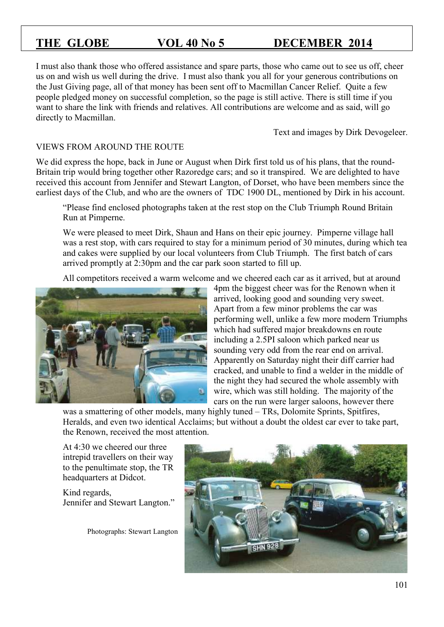I must also thank those who offered assistance and spare parts, those who came out to see us off, cheer us on and wish us well during the drive. I must also thank you all for your generous contributions on the Just Giving page, all of that money has been sent off to Macmillan Cancer Relief. Quite a few people pledged money on successful completion, so the page is still active. There is still time if you want to share the link with friends and relatives. All contributions are welcome and as said, will go directly to Macmillan.

Text and images by Dirk Devogeleer.

### VIEWS FROM AROUND THE ROUTE

We did express the hope, back in June or August when Dirk first told us of his plans, that the round-Britain trip would bring together other Razoredge cars; and so it transpired. We are delighted to have received this account from Jennifer and Stewart Langton, of Dorset, who have been members since the earliest days of the Club, and who are the owners of TDC 1900 DL, mentioned by Dirk in his account.

"Please find enclosed photographs taken at the rest stop on the Club Triumph Round Britain Run at Pimperne.

We were pleased to meet Dirk, Shaun and Hans on their epic journey. Pimperne village hall was a rest stop, with cars required to stay for a minimum period of 30 minutes, during which tea and cakes were supplied by our local volunteers from Club Triumph. The first batch of cars arrived promptly at 2:30pm and the car park soon started to fill up.

All competitors received a warm welcome and we cheered each car as it arrived, but at around



4pm the biggest cheer was for the Renown when it arrived, looking good and sounding very sweet. Apart from a few minor problems the car was performing well, unlike a few more modern Triumphs which had suffered major breakdowns en route including a 2.5PI saloon which parked near us sounding very odd from the rear end on arrival. Apparently on Saturday night their diff carrier had cracked, and unable to find a welder in the middle of the night they had secured the whole assembly with wire, which was still holding. The majority of the cars on the run were larger saloons, however there

was a smattering of other models, many highly tuned – TRs, Dolomite Sprints, Spitfires, Heralds, and even two identical Acclaims; but without a doubt the oldest car ever to take part, the Renown, received the most attention.

At 4:30 we cheered our three intrepid travellers on their way to the penultimate stop, the TR headquarters at Didcot.

Kind regards, Jennifer and Stewart Langton."

Photographs: Stewart Langton

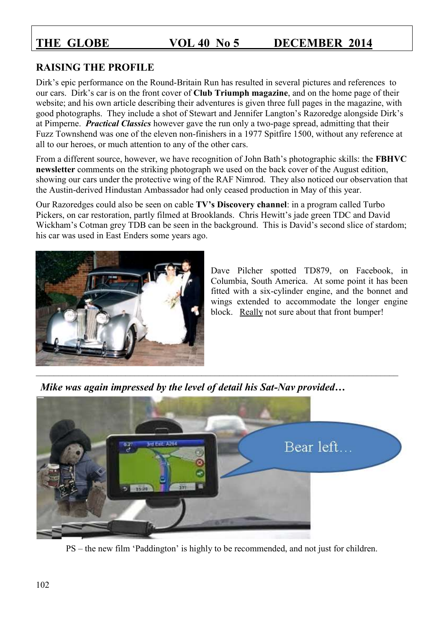# **RAISING THE PROFILE**

Dirk's epic performance on the Round-Britain Run has resulted in several pictures and references to our cars. Dirk's car is on the front cover of **Club Triumph magazine**, and on the home page of their website; and his own article describing their adventures is given three full pages in the magazine, with good photographs. They include a shot of Stewart and Jennifer Langton's Razoredge alongside Dirk's at Pimperne. *Practical Classics* however gave the run only a two-page spread, admitting that their Fuzz Townshend was one of the eleven non-finishers in a 1977 Spitfire 1500, without any reference at all to our heroes, or much attention to any of the other cars.

From a different source, however, we have recognition of John Bath's photographic skills: the **FBHVC newsletter** comments on the striking photograph we used on the back cover of the August edition, showing our cars under the protective wing of the RAF Nimrod. They also noticed our observation that the Austin-derived Hindustan Ambassador had only ceased production in May of this year.

Our Razoredges could also be seen on cable **TV's Discovery channel**: in a program called Turbo Pickers, on car restoration, partly filmed at Brooklands. Chris Hewitt's jade green TDC and David Wickham's Cotman grey TDB can be seen in the background. This is David's second slice of stardom; his car was used in East Enders some years ago.



Dave Pilcher spotted TD879, on Facebook, in Columbia, South America. At some point it has been fitted with a six-cylinder engine, and the bonnet and wings extended to accommodate the longer engine block. Really not sure about that front bumper!

*Mike was again impressed by the level of detail his Sat-Nav provided…*



PS – the new film 'Paddington' is highly to be recommended, and not just for children.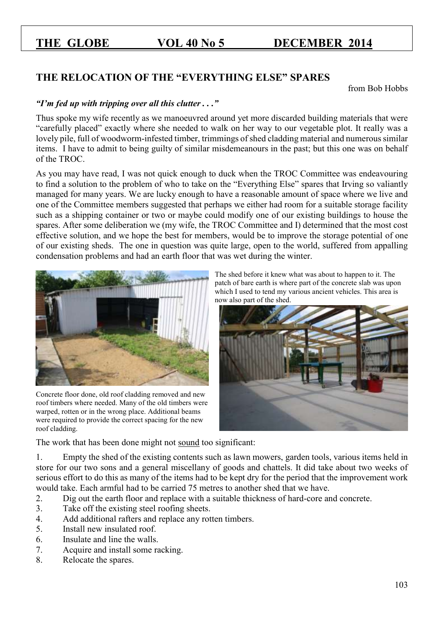# **THE RELOCATION OF THE "EVERYTHING ELSE" SPARES**

from Bob Hobbs

### *"I'm fed up with tripping over all this clutter . . ."*

Thus spoke my wife recently as we manoeuvred around yet more discarded building materials that were "carefully placed" exactly where she needed to walk on her way to our vegetable plot. It really was a lovely pile, full of woodworm-infested timber, trimmings of shed cladding material and numerous similar items. I have to admit to being guilty of similar misdemeanours in the past; but this one was on behalf of the TROC.

As you may have read, I was not quick enough to duck when the TROC Committee was endeavouring to find a solution to the problem of who to take on the "Everything Else" spares that Irving so valiantly managed for many years. We are lucky enough to have a reasonable amount of space where we live and one of the Committee members suggested that perhaps we either had room for a suitable storage facility such as a shipping container or two or maybe could modify one of our existing buildings to house the spares. After some deliberation we (my wife, the TROC Committee and I) determined that the most cost effective solution, and we hope the best for members, would be to improve the storage potential of one of our existing sheds. The one in question was quite large, open to the world, suffered from appalling condensation problems and had an earth floor that was wet during the winter.



Concrete floor done, old roof cladding removed and new roof timbers where needed. Many of the old timbers were warped, rotten or in the wrong place. Additional beams were required to provide the correct spacing for the new roof cladding.

The shed before it knew what was about to happen to it. The patch of bare earth is where part of the concrete slab was upon which I used to tend my various ancient vehicles. This area is now also part of the shed.



The work that has been done might not sound too significant:

1. Empty the shed of the existing contents such as lawn mowers, garden tools, various items held in store for our two sons and a general miscellany of goods and chattels. It did take about two weeks of serious effort to do this as many of the items had to be kept dry for the period that the improvement work would take. Each armful had to be carried 75 metres to another shed that we have.

- 2. Dig out the earth floor and replace with a suitable thickness of hard-core and concrete.
- 3. Take off the existing steel roofing sheets.
- 4. Add additional rafters and replace any rotten timbers.
- 5. Install new insulated roof.
- 6. Insulate and line the walls.
- 7. Acquire and install some racking.
- 8. Relocate the spares.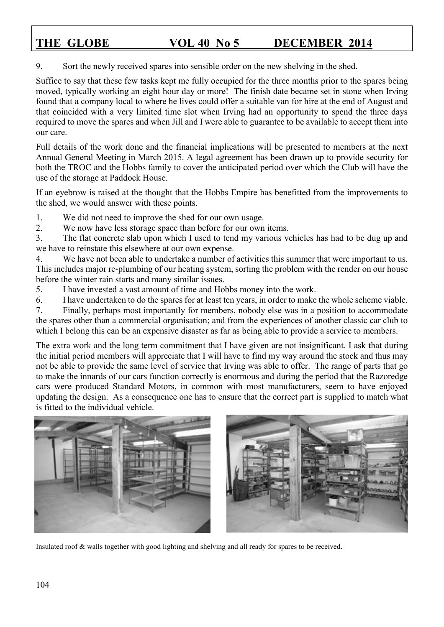### 9. Sort the newly received spares into sensible order on the new shelving in the shed.

Suffice to say that these few tasks kept me fully occupied for the three months prior to the spares being moved, typically working an eight hour day or more! The finish date became set in stone when Irving found that a company local to where he lives could offer a suitable van for hire at the end of August and that coincided with a very limited time slot when Irving had an opportunity to spend the three days required to move the spares and when Jill and I were able to guarantee to be available to accept them into our care.

Full details of the work done and the financial implications will be presented to members at the next Annual General Meeting in March 2015. A legal agreement has been drawn up to provide security for both the TROC and the Hobbs family to cover the anticipated period over which the Club will have the use of the storage at Paddock House.

If an eyebrow is raised at the thought that the Hobbs Empire has benefitted from the improvements to the shed, we would answer with these points.

1. We did not need to improve the shed for our own usage.

2. We now have less storage space than before for our own items.

3. The flat concrete slab upon which I used to tend my various vehicles has had to be dug up and we have to reinstate this elsewhere at our own expense.

4. We have not been able to undertake a number of activities this summer that were important to us. This includes major re-plumbing of our heating system, sorting the problem with the render on our house before the winter rain starts and many similar issues.

5. I have invested a vast amount of time and Hobbs money into the work.

6. I have undertaken to do the spares for at least ten years, in order to make the whole scheme viable.

7. Finally, perhaps most importantly for members, nobody else was in a position to accommodate the spares other than a commercial organisation; and from the experiences of another classic car club to which I belong this can be an expensive disaster as far as being able to provide a service to members.

The extra work and the long term commitment that I have given are not insignificant. I ask that during the initial period members will appreciate that I will have to find my way around the stock and thus may not be able to provide the same level of service that Irving was able to offer. The range of parts that go to make the innards of our cars function correctly is enormous and during the period that the Razoredge cars were produced Standard Motors, in common with most manufacturers, seem to have enjoyed updating the design. As a consequence one has to ensure that the correct part is supplied to match what is fitted to the individual vehicle.



Insulated roof & walls together with good lighting and shelving and all ready for spares to be received.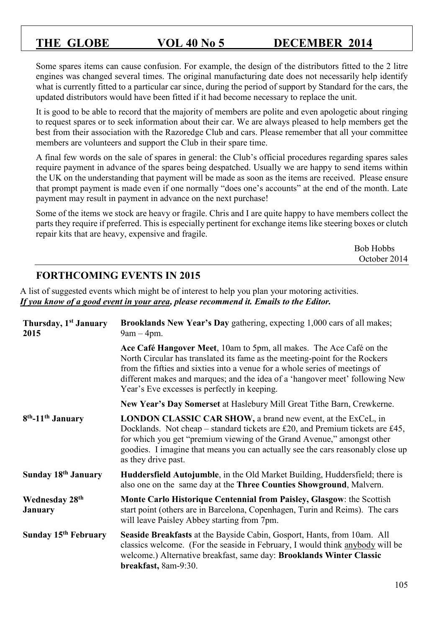Some spares items can cause confusion. For example, the design of the distributors fitted to the 2 litre engines was changed several times. The original manufacturing date does not necessarily help identify what is currently fitted to a particular car since, during the period of support by Standard for the cars, the updated distributors would have been fitted if it had become necessary to replace the unit.

It is good to be able to record that the majority of members are polite and even apologetic about ringing to request spares or to seek information about their car. We are always pleased to help members get the best from their association with the Razoredge Club and cars. Please remember that all your committee members are volunteers and support the Club in their spare time.

A final few words on the sale of spares in general: the Club's official procedures regarding spares sales require payment in advance of the spares being despatched. Usually we are happy to send items within the UK on the understanding that payment will be made as soon as the items are received. Please ensure that prompt payment is made even if one normally "does one's accounts" at the end of the month. Late payment may result in payment in advance on the next purchase!

Some of the items we stock are heavy or fragile. Chris and I are quite happy to have members collect the parts they require if preferred. This is especially pertinent for exchange items like steering boxes or clutch repair kits that are heavy, expensive and fragile.

| <b>Bob Hobbs</b> |
|------------------|
| October 2014     |

# **FORTHCOMING EVENTS IN 2015**

A list of suggested events which might be of interest to help you plan your motoring activities. *If you know of a good event in your area, please recommend it. Emails to the Editor.* 

| Thursday, 1 <sup>st</sup> January<br>2015 | Brooklands New Year's Day gathering, expecting 1,000 cars of all makes;<br>$9am - 4pm.$                                                                                                                                                                                                                                                                           |  |
|-------------------------------------------|-------------------------------------------------------------------------------------------------------------------------------------------------------------------------------------------------------------------------------------------------------------------------------------------------------------------------------------------------------------------|--|
|                                           | Ace Café Hangover Meet, 10am to 5pm, all makes. The Ace Café on the<br>North Circular has translated its fame as the meeting-point for the Rockers<br>from the fifties and sixties into a venue for a whole series of meetings of<br>different makes and marques; and the idea of a 'hangover meet' following New<br>Year's Eve excesses is perfectly in keeping. |  |
|                                           | New Year's Day Somerset at Haslebury Mill Great Tithe Barn, Crewkerne.                                                                                                                                                                                                                                                                                            |  |
| 8 <sup>th</sup> -11 <sup>th</sup> January | <b>LONDON CLASSIC CAR SHOW, a brand new event, at the ExCeL, in</b><br>Docklands. Not cheap – standard tickets are £20, and Premium tickets are £45,<br>for which you get "premium viewing of the Grand Avenue," amongst other<br>goodies. I imagine that means you can actually see the cars reasonably close up<br>as they drive past.                          |  |
| Sunday 18th January                       | Huddersfield Autojumble, in the Old Market Building, Huddersfield; there is<br>also one on the same day at the <b>Three Counties Showground</b> , Malvern.                                                                                                                                                                                                        |  |
| <b>Wednesday 28th</b><br><b>January</b>   | Monte Carlo Historique Centennial from Paisley, Glasgow: the Scottish<br>start point (others are in Barcelona, Copenhagen, Turin and Reims). The cars<br>will leave Paisley Abbey starting from 7pm.                                                                                                                                                              |  |
| Sunday 15 <sup>th</sup> February          | <b>Seaside Breakfasts</b> at the Bayside Cabin, Gosport, Hants, from 10am. All<br>classics welcome. (For the seaside in February, I would think anybody will be<br>welcome.) Alternative breakfast, same day: Brooklands Winter Classic<br>breakfast, 8am-9:30.                                                                                                   |  |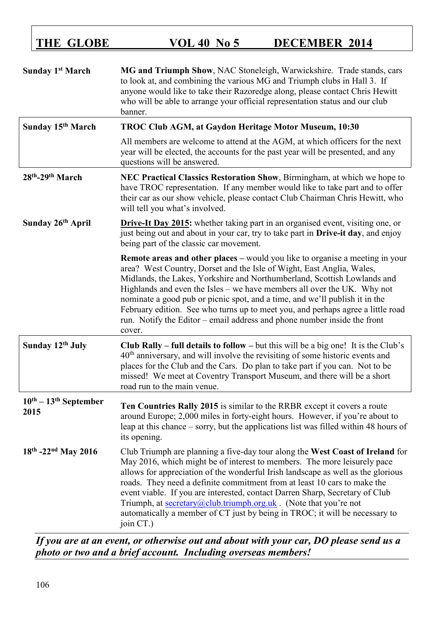| <b>Sunday 1st March</b>                             | MG and Triumph Show, NAC Stoneleigh, Warwickshire. Trade stands, cars<br>to look at, and combining the various MG and Triumph clubs in Hall 3. If<br>anyone would like to take their Razoredge along, please contact Chris Hewitt<br>who will be able to arrange your official representation status and our club<br>banner.                                                                                                                                                                                                                                                      |  |
|-----------------------------------------------------|-----------------------------------------------------------------------------------------------------------------------------------------------------------------------------------------------------------------------------------------------------------------------------------------------------------------------------------------------------------------------------------------------------------------------------------------------------------------------------------------------------------------------------------------------------------------------------------|--|
| Sunday 15 <sup>th</sup> March                       | TROC Club AGM, at Gaydon Heritage Motor Museum, 10:30                                                                                                                                                                                                                                                                                                                                                                                                                                                                                                                             |  |
|                                                     | All members are welcome to attend at the AGM, at which officers for the next<br>year will be elected, the accounts for the past year will be presented, and any<br>questions will be answered.                                                                                                                                                                                                                                                                                                                                                                                    |  |
| 28th-29th March                                     | NEC Practical Classics Restoration Show, Birmingham, at which we hope to<br>have TROC representation. If any member would like to take part and to offer<br>their car as our show vehicle, please contact Club Chairman Chris Hewitt, who<br>will tell you what's involved.                                                                                                                                                                                                                                                                                                       |  |
| Sunday 26 <sup>th</sup> April                       | <b>Drive-It Day 2015:</b> whether taking part in an organised event, visiting one, or<br>just being out and about in your car, try to take part in Drive-it day, and enjoy<br>being part of the classic car movement.                                                                                                                                                                                                                                                                                                                                                             |  |
|                                                     | <b>Remote areas and other places – would you like to organise a meeting in your</b><br>area? West Country, Dorset and the Isle of Wight, East Anglia, Wales,<br>Midlands, the Lakes, Yorkshire and Northumberland, Scottish Lowlands and<br>Highlands and even the Isles – we have members all over the UK. Why not<br>nominate a good pub or picnic spot, and a time, and we'll publish it in the<br>February edition. See who turns up to meet you, and perhaps agree a little road<br>run. Notify the Editor – email address and phone number inside the front<br>cover.       |  |
| Sunday 12th July                                    | <b>Club Rally – full details to follow –</b> but this will be a big one! It is the Club's<br>$40th$ anniversary, and will involve the revisiting of some historic events and<br>places for the Club and the Cars. Do plan to take part if you can. Not to be<br>missed! We meet at Coventry Transport Museum, and there will be a short<br>road run to the main venue.                                                                                                                                                                                                            |  |
| $10^{\text{th}} - 13^{\text{th}}$ September<br>2015 | Ten Countries Rally 2015 is similar to the RRBR except it covers a route<br>around Europe; 2,000 miles in forty-eight hours. However, if you're about to<br>leap at this chance – sorry, but the applications list was filled within 48 hours of<br>its opening.                                                                                                                                                                                                                                                                                                                  |  |
| $18th - 22nd$ May 2016                              | Club Triumph are planning a five-day tour along the West Coast of Ireland for<br>May 2016, which might be of interest to members. The more leisurely pace<br>allows for appreciation of the wonderful Irish landscape as well as the glorious<br>roads. They need a definite commitment from at least 10 cars to make the<br>event viable. If you are interested, contact Darren Sharp, Secretary of Club<br>Triumph, at <u>secretary@club.triumph.org.uk</u> . (Note that you're not<br>automatically a member of CT just by being in TROC; it will be necessary to<br>join CT.) |  |

*If you are at an event, or otherwise out and about with your car, DO please send us a photo or two and a brief account. Including overseas members!*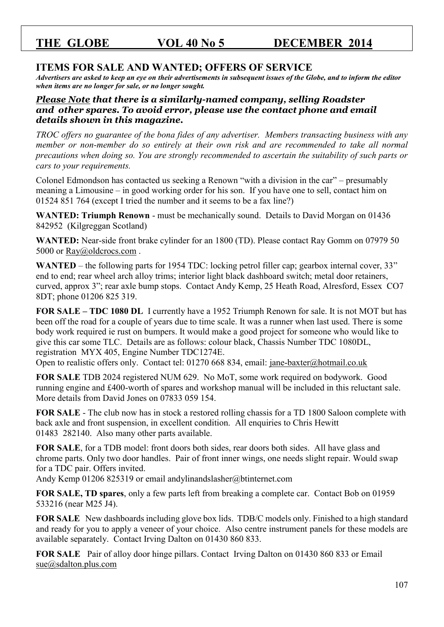# **ITEMS FOR SALE AND WANTED; OFFERS OF SERVICE**

*Advertisers are asked to keep an eye on their advertisements in subsequent issues of the Globe, and to inform the editor when items are no longer for sale, or no longer sought.* 

### *Please Note that there is a similarly-named company, selling Roadster and other spares. To avoid error, please use the contact phone and email details shown in this magazine.*

*TROC offers no guarantee of the bona fides of any advertiser. Members transacting business with any member or non-member do so entirely at their own risk and are recommended to take all normal precautions when doing so. You are strongly recommended to ascertain the suitability of such parts or cars to your requirements.* 

Colonel Edmondson has contacted us seeking a Renown "with a division in the car" – presumably meaning a Limousine – in good working order for his son. If you have one to sell, contact him on 01524 851 764 (except I tried the number and it seems to be a fax line?)

**WANTED: Triumph Renown** - must be mechanically sound. Details to David Morgan on 01436 842952 (Kilgreggan Scotland)

**WANTED:** Near-side front brake cylinder for an 1800 (TD). Please contact Ray Gomm on 07979 50 5000 or Ray@oldcrocs.com.

**WANTED** – the following parts for 1954 TDC: locking petrol filler cap; gearbox internal cover, 33" end to end; rear wheel arch alloy trims; interior light black dashboard switch; metal door retainers, curved, approx 3"; rear axle bump stops. Contact Andy Kemp, 25 Heath Road, Alresford, Essex CO7 8DT; phone 01206 825 319.

**FOR SALE – TDC 1080 DL** I currently have a 1952 Triumph Renown for sale. It is not MOT but has been off the road for a couple of years due to time scale. It was a runner when last used. There is some body work required ie rust on bumpers. It would make a good project for someone who would like to give this car some TLC. Details are as follows: colour black, Chassis Number TDC 1080DL, registration MYX 405, Engine Number TDC1274E.

Open to realistic offers only. Contact tel: 01270 668 834, email: [jane-baxter@hotmail.co.uk](mailto:jane-baxter@hotmail.co.uk)

**FOR SALE** TDB 2024 registered NUM 629. No MoT, some work required on bodywork. Good running engine and £400-worth of spares and workshop manual will be included in this reluctant sale. More details from David Jones on 07833 059 154.

**FOR SALE** - The club now has in stock a restored rolling chassis for a TD 1800 Saloon complete with back axle and front suspension, in excellent condition. All enquiries to Chris Hewitt 01483 282140. Also many other parts available.

**FOR SALE**, for a TDB model: front doors both sides, rear doors both sides. All have glass and chrome parts. Only two door handles. Pair of front inner wings, one needs slight repair. Would swap for a TDC pair. Offers invited.

Andy Kemp 01206 825319 or email andylinandslasher@btinternet.com

**FOR SALE, TD spares**, only a few parts left from breaking a complete car. Contact Bob on 01959 533216 (near M25 J4).

**FOR SALE** New dashboards including glove box lids. TDB/C models only. Finished to a high standard and ready for you to apply a veneer of your choice. Also centre instrument panels for these models are available separately. Contact Irving Dalton on 01430 860 833.

**FOR SALE** Pair of alloy door hinge pillars. Contact Irving Dalton on 01430 860 833 or Email [sue@sdalton.plus.com](mailto:sue@sdalton.plus.com)